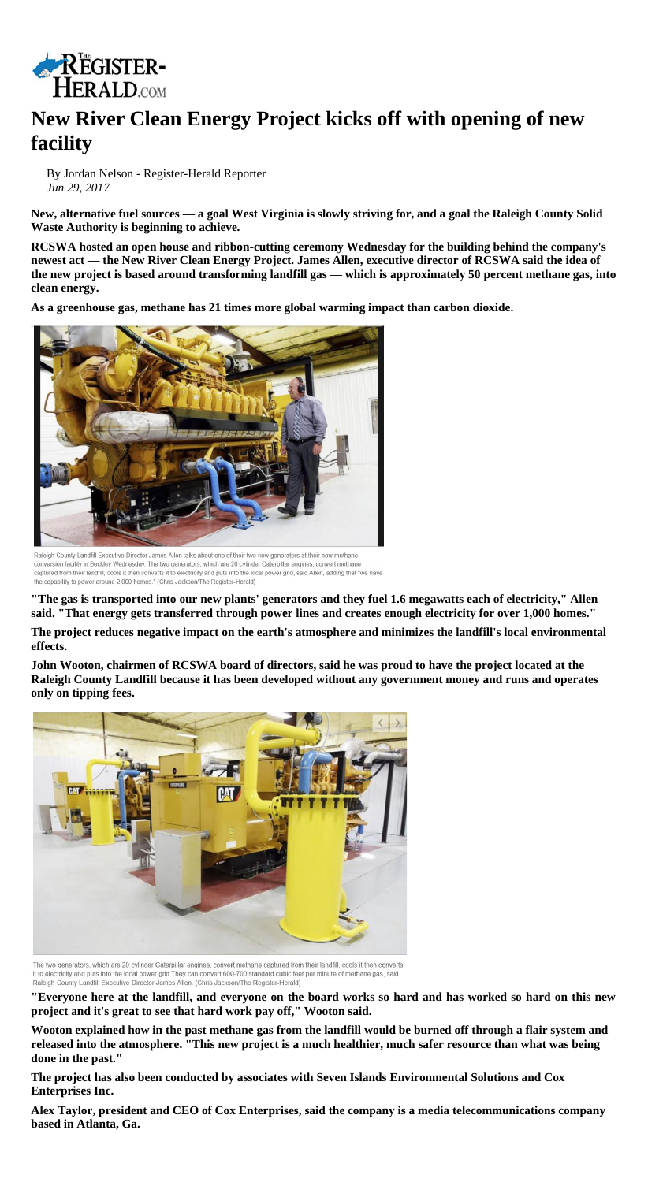

## **New River Clean Energy Project kicks off with opening of new facility**

By Jordan Nelson - Register-Herald Reporter *Jun 29, 2017*

**New, alternative fuel sources — a goal West Virginia is slowly striving for, and a goal the Raleigh County Solid Waste Authority is beginning to achieve.**

**RCSWA hosted an open house and ribbon-cutting ceremony Wednesday for the building behind the company's newest act — the New River Clean Energy Project. James Allen, executive director of RCSWA said the idea of the new project is based around transforming landfill gas — which is approximately 50 percent methane gas, into clean energy.**

**As a greenhouse gas, methane has 21 times more global warming impact than carbon dioxide.**



Raleigh County Landfill Executive Director James Allen talks about one of their two new generators at their new methane conversion facility in Beckley Wednesday. The two generators, which are 20 cylinder Caterpillar engines, convert methane captured from their landfill, cools it then converts it to electricity and puts into the local power grid, said Allen, adding that "we have the capability to power around 2,000 homes." (Chris Jackson/The Register-Herald)

**"The gas is transported into our new plants' generators and they fuel 1.6 megawatts each of electricity," Allen said. "That energy gets transferred through power lines and creates enough electricity for over 1,000 homes."**

**The project reduces negative impact on the earth's atmosphere and minimizes the landfill's local environmental effects.**

**John Wooton, chairmen of RCSWA board of directors, said he was proud to have the project located at the Raleigh County Landfill because it has been developed without any government money and runs and operates only on tipping fees.**



The two generators, which are 20 cylinder Caterpillar engines, convert methane captured from their landfill, cools it then converts it to electricity and puts into the local power grid. They can convert 600-700 standard cubic feet per minute of methane gas, said Raleigh County Landfill Executive Director James Allen. (Chris Jackson/The Register-Herald)

**"Everyone here at the landfill, and everyone on the board works so hard and has worked so hard on this new project and it's great to see that hard work pay off," Wooton said.**

**Wooton explained how in the past methane gas from the landfill would be burned off through a flair system and released into the atmosphere. "This new project is a much healthier, much safer resource than what was being done in the past."**

**The project has also been conducted by associates with Seven Islands Environmental Solutions and Cox Enterprises Inc.**

**Alex Taylor, president and CEO of Cox Enterprises, said the company is a media telecommunications company based in Atlanta, Ga.**